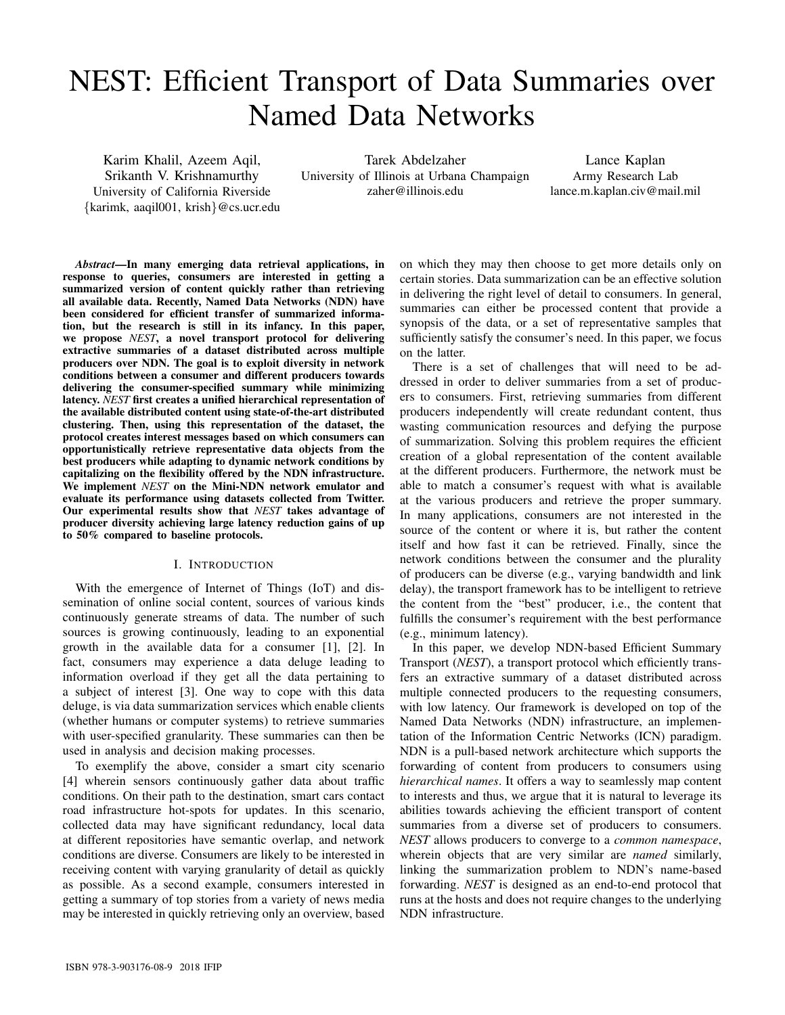# NEST: Efficient Transport of Data Summaries over Named Data Networks

Karim Khalil, Azeem Aqil, Srikanth V. Krishnamurthy University of California Riverside {karimk, aaqil001, krish}@cs.ucr.edu

Tarek Abdelzaher University of Illinois at Urbana Champaign zaher@illinois.edu

Lance Kaplan Army Research Lab lance.m.kaplan.civ@mail.mil

*Abstract*—In many emerging data retrieval applications, in response to queries, consumers are interested in getting a summarized version of content quickly rather than retrieving all available data. Recently, Named Data Networks (NDN) have been considered for efficient transfer of summarized information, but the research is still in its infancy. In this paper, we propose *NEST*, a novel transport protocol for delivering extractive summaries of a dataset distributed across multiple producers over NDN. The goal is to exploit diversity in network conditions between a consumer and different producers towards delivering the consumer-specified summary while minimizing latency. *NEST* first creates a unified hierarchical representation of the available distributed content using state-of-the-art distributed clustering. Then, using this representation of the dataset, the protocol creates interest messages based on which consumers can opportunistically retrieve representative data objects from the best producers while adapting to dynamic network conditions by capitalizing on the flexibility offered by the NDN infrastructure. We implement *NEST* on the Mini-NDN network emulator and evaluate its performance using datasets collected from Twitter. Our experimental results show that *NEST* takes advantage of producer diversity achieving large latency reduction gains of up to 50% compared to baseline protocols.

#### I. INTRODUCTION

With the emergence of Internet of Things (IoT) and dissemination of online social content, sources of various kinds continuously generate streams of data. The number of such sources is growing continuously, leading to an exponential growth in the available data for a consumer [1], [2]. In fact, consumers may experience a data deluge leading to information overload if they get all the data pertaining to a subject of interest [3]. One way to cope with this data deluge, is via data summarization services which enable clients (whether humans or computer systems) to retrieve summaries with user-specified granularity. These summaries can then be used in analysis and decision making processes.

To exemplify the above, consider a smart city scenario [4] wherein sensors continuously gather data about traffic conditions. On their path to the destination, smart cars contact road infrastructure hot-spots for updates. In this scenario, collected data may have significant redundancy, local data at different repositories have semantic overlap, and network conditions are diverse. Consumers are likely to be interested in receiving content with varying granularity of detail as quickly as possible. As a second example, consumers interested in getting a summary of top stories from a variety of news media may be interested in quickly retrieving only an overview, based

on which they may then choose to get more details only on certain stories. Data summarization can be an effective solution in delivering the right level of detail to consumers. In general, summaries can either be processed content that provide a synopsis of the data, or a set of representative samples that sufficiently satisfy the consumer's need. In this paper, we focus on the latter.

There is a set of challenges that will need to be addressed in order to deliver summaries from a set of producers to consumers. First, retrieving summaries from different producers independently will create redundant content, thus wasting communication resources and defying the purpose of summarization. Solving this problem requires the efficient creation of a global representation of the content available at the different producers. Furthermore, the network must be able to match a consumer's request with what is available at the various producers and retrieve the proper summary. In many applications, consumers are not interested in the source of the content or where it is, but rather the content itself and how fast it can be retrieved. Finally, since the network conditions between the consumer and the plurality of producers can be diverse (e.g., varying bandwidth and link delay), the transport framework has to be intelligent to retrieve the content from the "best" producer, i.e., the content that fulfills the consumer's requirement with the best performance (e.g., minimum latency).

In this paper, we develop NDN-based Efficient Summary Transport (*NEST*), a transport protocol which efficiently transfers an extractive summary of a dataset distributed across multiple connected producers to the requesting consumers, with low latency. Our framework is developed on top of the Named Data Networks (NDN) infrastructure, an implementation of the Information Centric Networks (ICN) paradigm. NDN is a pull-based network architecture which supports the forwarding of content from producers to consumers using *hierarchical names*. It offers a way to seamlessly map content to interests and thus, we argue that it is natural to leverage its abilities towards achieving the efficient transport of content summaries from a diverse set of producers to consumers. *NEST* allows producers to converge to a *common namespace*, wherein objects that are very similar are *named* similarly, linking the summarization problem to NDN's name-based forwarding. *NEST* is designed as an end-to-end protocol that runs at the hosts and does not require changes to the underlying NDN infrastructure.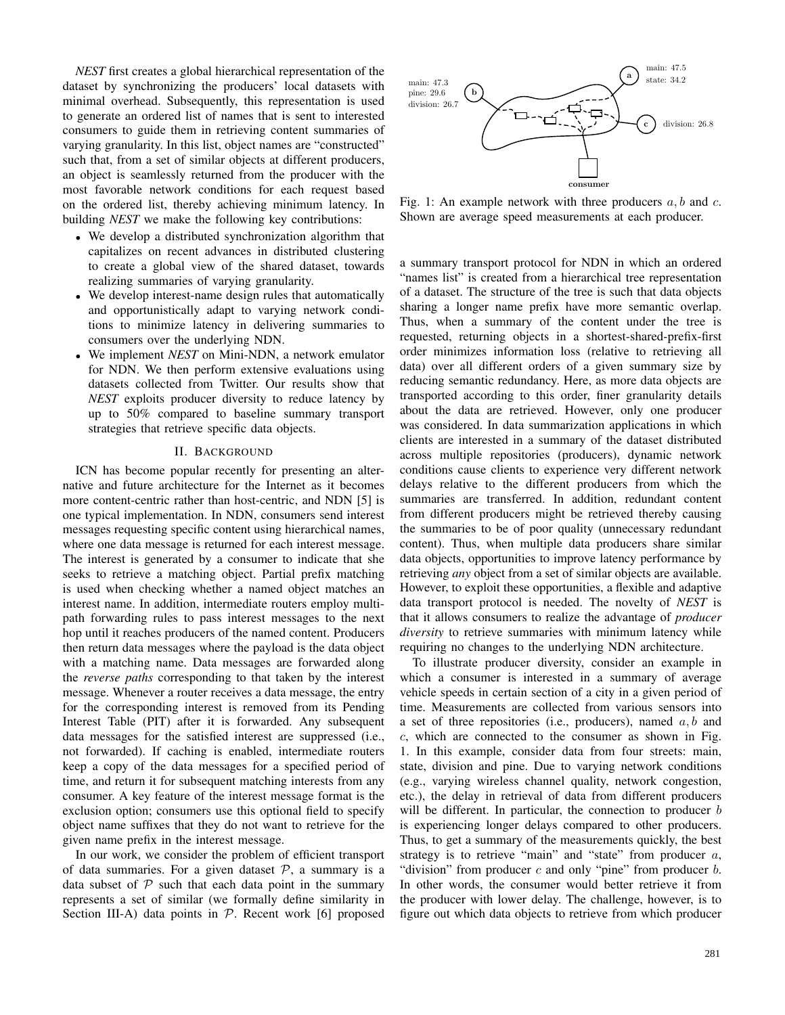*NEST* first creates a global hierarchical representation of the dataset by synchronizing the producers' local datasets with minimal overhead. Subsequently, this representation is used to generate an ordered list of names that is sent to interested consumers to guide them in retrieving content summaries of varying granularity. In this list, object names are "constructed" such that, from a set of similar objects at different producers, an object is seamlessly returned from the producer with the most favorable network conditions for each request based on the ordered list, thereby achieving minimum latency. In building *NEST* we make the following key contributions:

- We develop a distributed synchronization algorithm that capitalizes on recent advances in distributed clustering to create a global view of the shared dataset, towards realizing summaries of varying granularity.
- We develop interest-name design rules that automatically and opportunistically adapt to varying network conditions to minimize latency in delivering summaries to consumers over the underlying NDN.
- We implement *NEST* on Mini-NDN, a network emulator for NDN. We then perform extensive evaluations using datasets collected from Twitter. Our results show that *NEST* exploits producer diversity to reduce latency by up to 50% compared to baseline summary transport strategies that retrieve specific data objects.

#### II. BACKGROUND

ICN has become popular recently for presenting an alternative and future architecture for the Internet as it becomes more content-centric rather than host-centric, and NDN [5] is one typical implementation. In NDN, consumers send interest messages requesting specific content using hierarchical names, where one data message is returned for each interest message. The interest is generated by a consumer to indicate that she seeks to retrieve a matching object. Partial prefix matching is used when checking whether a named object matches an interest name. In addition, intermediate routers employ multipath forwarding rules to pass interest messages to the next hop until it reaches producers of the named content. Producers then return data messages where the payload is the data object with a matching name. Data messages are forwarded along the *reverse paths* corresponding to that taken by the interest message. Whenever a router receives a data message, the entry for the corresponding interest is removed from its Pending Interest Table (PIT) after it is forwarded. Any subsequent data messages for the satisfied interest are suppressed (i.e., not forwarded). If caching is enabled, intermediate routers keep a copy of the data messages for a specified period of time, and return it for subsequent matching interests from any consumer. A key feature of the interest message format is the exclusion option; consumers use this optional field to specify object name suffixes that they do not want to retrieve for the given name prefix in the interest message.

In our work, we consider the problem of efficient transport of data summaries. For a given dataset  $P$ , a summary is a data subset of  $P$  such that each data point in the summary represents a set of similar (we formally define similarity in Section III-A) data points in  $P$ . Recent work [6] proposed



Fig. 1: An example network with three producers  $a, b$  and  $c$ . Shown are average speed measurements at each producer.

a summary transport protocol for NDN in which an ordered "names list" is created from a hierarchical tree representation of a dataset. The structure of the tree is such that data objects sharing a longer name prefix have more semantic overlap. Thus, when a summary of the content under the tree is requested, returning objects in a shortest-shared-prefix-first order minimizes information loss (relative to retrieving all data) over all different orders of a given summary size by reducing semantic redundancy. Here, as more data objects are transported according to this order, finer granularity details about the data are retrieved. However, only one producer was considered. In data summarization applications in which clients are interested in a summary of the dataset distributed across multiple repositories (producers), dynamic network conditions cause clients to experience very different network delays relative to the different producers from which the summaries are transferred. In addition, redundant content from different producers might be retrieved thereby causing the summaries to be of poor quality (unnecessary redundant content). Thus, when multiple data producers share similar data objects, opportunities to improve latency performance by retrieving *any* object from a set of similar objects are available. However, to exploit these opportunities, a flexible and adaptive data transport protocol is needed. The novelty of *NEST* is that it allows consumers to realize the advantage of *producer diversity* to retrieve summaries with minimum latency while requiring no changes to the underlying NDN architecture.

To illustrate producer diversity, consider an example in which a consumer is interested in a summary of average vehicle speeds in certain section of a city in a given period of time. Measurements are collected from various sensors into a set of three repositories (i.e., producers), named  $a, b$  and c, which are connected to the consumer as shown in Fig. 1. In this example, consider data from four streets: main, state, division and pine. Due to varying network conditions (e.g., varying wireless channel quality, network congestion, etc.), the delay in retrieval of data from different producers will be different. In particular, the connection to producer  $b$ is experiencing longer delays compared to other producers. Thus, to get a summary of the measurements quickly, the best strategy is to retrieve "main" and "state" from producer  $a$ , "division" from producer  $c$  and only "pine" from producer  $b$ . In other words, the consumer would better retrieve it from the producer with lower delay. The challenge, however, is to figure out which data objects to retrieve from which producer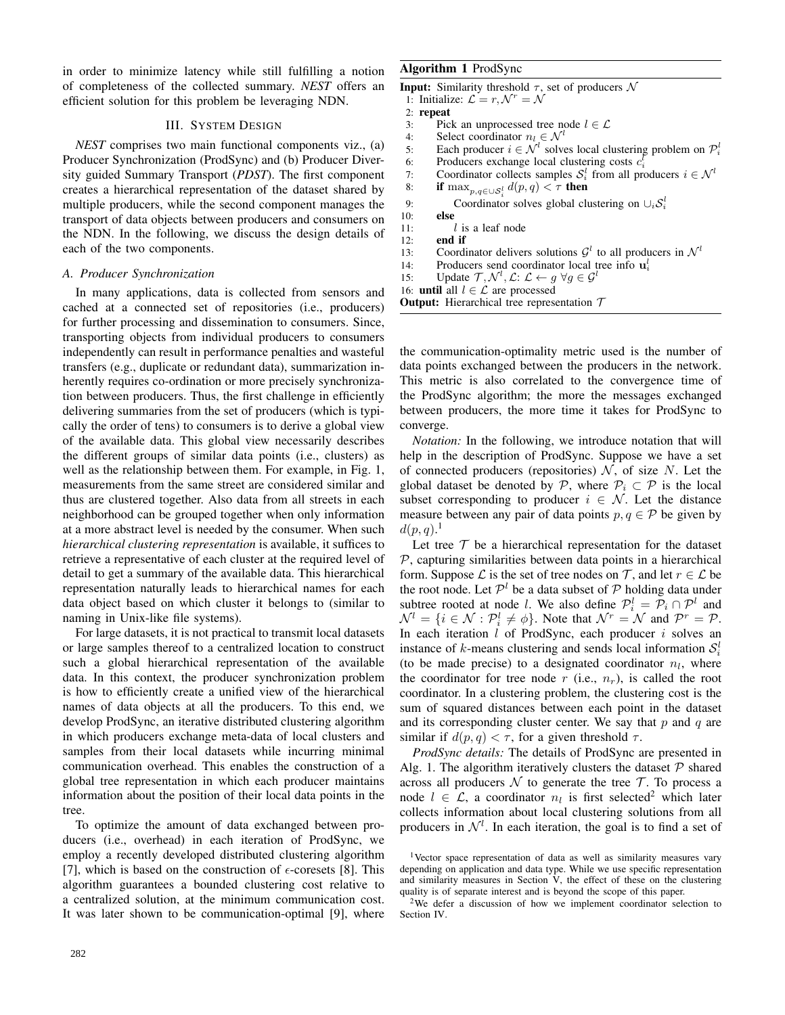in order to minimize latency while still fulfilling a notion of completeness of the collected summary. *NEST* offers an efficient solution for this problem be leveraging NDN.

### III. SYSTEM DESIGN

*NEST* comprises two main functional components viz., (a) Producer Synchronization (ProdSync) and (b) Producer Diversity guided Summary Transport (*PDST*). The first component creates a hierarchical representation of the dataset shared by multiple producers, while the second component manages the transport of data objects between producers and consumers on the NDN. In the following, we discuss the design details of each of the two components.

#### *A. Producer Synchronization*

In many applications, data is collected from sensors and cached at a connected set of repositories (i.e., producers) for further processing and dissemination to consumers. Since, transporting objects from individual producers to consumers independently can result in performance penalties and wasteful transfers (e.g., duplicate or redundant data), summarization inherently requires co-ordination or more precisely synchronization between producers. Thus, the first challenge in efficiently delivering summaries from the set of producers (which is typically the order of tens) to consumers is to derive a global view of the available data. This global view necessarily describes the different groups of similar data points (i.e., clusters) as well as the relationship between them. For example, in Fig. 1, measurements from the same street are considered similar and thus are clustered together. Also data from all streets in each neighborhood can be grouped together when only information at a more abstract level is needed by the consumer. When such *hierarchical clustering representation* is available, it suffices to retrieve a representative of each cluster at the required level of detail to get a summary of the available data. This hierarchical representation naturally leads to hierarchical names for each data object based on which cluster it belongs to (similar to naming in Unix-like file systems).

For large datasets, it is not practical to transmit local datasets or large samples thereof to a centralized location to construct such a global hierarchical representation of the available data. In this context, the producer synchronization problem is how to efficiently create a unified view of the hierarchical names of data objects at all the producers. To this end, we develop ProdSync, an iterative distributed clustering algorithm in which producers exchange meta-data of local clusters and samples from their local datasets while incurring minimal communication overhead. This enables the construction of a global tree representation in which each producer maintains information about the position of their local data points in the tree.

To optimize the amount of data exchanged between producers (i.e., overhead) in each iteration of ProdSync, we employ a recently developed distributed clustering algorithm [7], which is based on the construction of  $\epsilon$ -coresets [8]. This algorithm guarantees a bounded clustering cost relative to a centralized solution, at the minimum communication cost. It was later shown to be communication-optimal [9], where

#### Algorithm 1 ProdSync

```
Input: Similarity threshold \tau, set of producers \mathcal N1: Initialize: \mathcal{L} = r, \mathcal{N}^r = \mathcal{N}2: repeat<br>3: PicPick an unprocessed tree node l \in \mathcal{L}4: Select coordinator n_l \in \mathcal{N}^l<br>5: Each producer i \in \mathcal{N}^l solve
  5: Each producer i \in \mathcal{N}^l solves local clustering problem on \mathcal{P}_i^l6: Producers exchange local clustering costs c_i^{\bar{l}}7: Coordinator collects samples S_i^l from all producers i \in \mathcal{N}^l8: if \max_{p,q\in\cup\mathcal{S}_i^l} d(p,q) < \tau then
  9: Coordinator solves global clustering on \cup_i \mathcal{S}_i^l10: else
11: l is a leaf node<br>12: end if
          end if
13: Coordinator delivers solutions \mathcal{G}^l to all producers in \mathcal{N}^l14: Producers send coordinator local tree info \mathbf{u}_i^l15: Update \mathcal{T}, \mathcal{N}^l, \mathcal{L}: \mathcal{L} \leftarrow g \; \forall g \in \mathcal{G}^l16: until all l \in \mathcal{L} are processed
Output: Hierarchical tree representation T
```
the communication-optimality metric used is the number of data points exchanged between the producers in the network. This metric is also correlated to the convergence time of the ProdSync algorithm; the more the messages exchanged between producers, the more time it takes for ProdSync to converge.

*Notation:* In the following, we introduce notation that will help in the description of ProdSync. Suppose we have a set of connected producers (repositories)  $N$ , of size N. Let the global dataset be denoted by  $\mathcal{P}$ , where  $\mathcal{P}_i \subset \mathcal{P}$  is the local subset corresponding to producer  $i \in \mathcal{N}$ . Let the distance measure between any pair of data points  $p, q \in \mathcal{P}$  be given by  $d(p,q).<sup>1</sup>$ 

Let tree  $T$  be a hierarchical representation for the dataset  $P$ , capturing similarities between data points in a hierarchical form. Suppose  $\mathcal L$  is the set of tree nodes on  $\mathcal T$ , and let  $r \in \mathcal L$  be the root node. Let  $\mathcal{P}^l$  be a data subset of  $\mathcal P$  holding data under subtree rooted at node *l*. We also define  $\mathcal{P}_i^l = \mathcal{P}_i \cap \mathcal{P}^l$  and  $\mathcal{N}^l = \{i \in \mathcal{N} : \mathcal{P}_i^l \neq \emptyset\}$ . Note that  $\mathcal{N}^r = \mathcal{N}$  and  $\mathcal{P}^r = \mathcal{P}$ . In each iteration  $l$  of ProdSync, each producer  $i$  solves an instance of k-means clustering and sends local information  $S_i^l$ (to be made precise) to a designated coordinator  $n_l$ , where the coordinator for tree node r (i.e.,  $n_r$ ), is called the root coordinator. In a clustering problem, the clustering cost is the sum of squared distances between each point in the dataset and its corresponding cluster center. We say that  $p$  and  $q$  are similar if  $d(p, q) < \tau$ , for a given threshold  $\tau$ .

*ProdSync details:* The details of ProdSync are presented in Alg. 1. The algorithm iteratively clusters the dataset  $P$  shared across all producers  $\mathcal N$  to generate the tree  $\mathcal T$ . To process a node  $l \in \mathcal{L}$ , a coordinator  $n_l$  is first selected<sup>2</sup> which later collects information about local clustering solutions from all producers in  $\mathcal{N}^l$ . In each iteration, the goal is to find a set of

<sup>&</sup>lt;sup>1</sup>Vector space representation of data as well as similarity measures vary depending on application and data type. While we use specific representation and similarity measures in Section  $V$ , the effect of these on the clustering quality is of separate interest and is beyond the scope of this paper.

<sup>2</sup>We defer a discussion of how we implement coordinator selection to Section IV.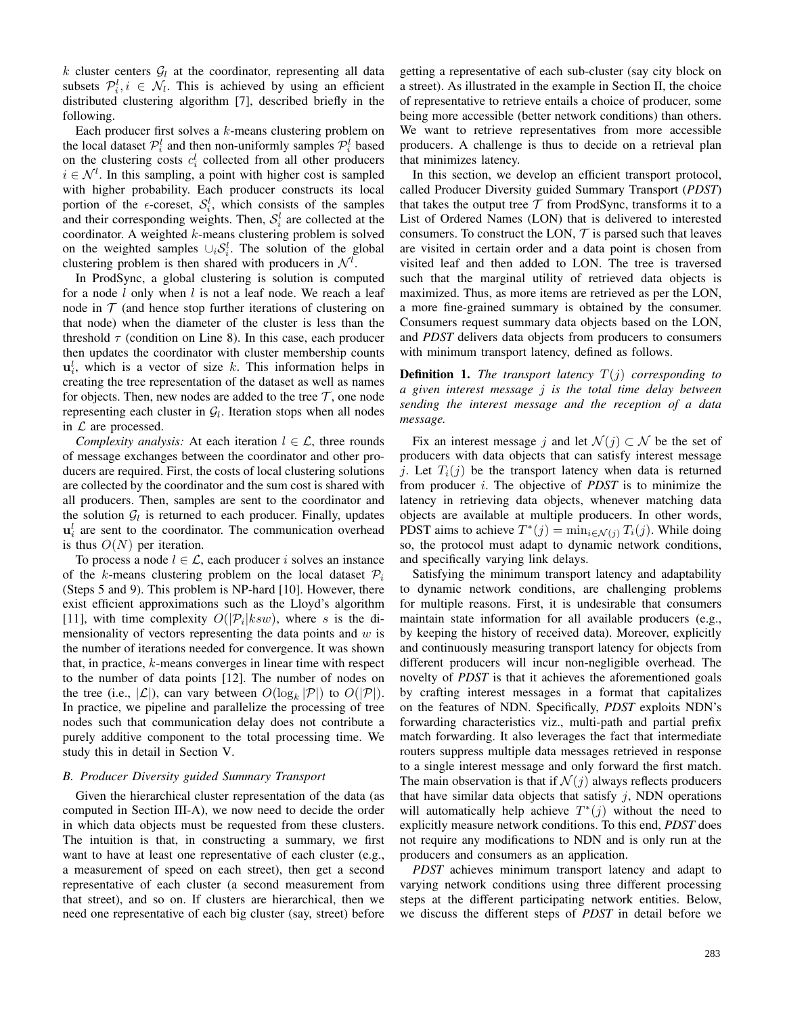k cluster centers  $G_l$  at the coordinator, representing all data subsets  $\mathcal{P}_i^l, i \in \mathcal{N}_l$ . This is achieved by using an efficient distributed clustering algorithm [7], described briefly in the following.

Each producer first solves a k-means clustering problem on the local dataset  $\mathcal{P}_i^l$  and then non-uniformly samples  $\mathcal{P}_i^l$  based on the clustering costs  $c_i^l$  collected from all other producers  $i \in \mathcal{N}^l$ . In this sampling, a point with higher cost is sampled with higher probability. Each producer constructs its local portion of the  $\epsilon$ -coreset,  $S_i^l$ , which consists of the samples and their corresponding weights. Then,  $S_i^l$  are collected at the coordinator. A weighted  $k$ -means clustering problem is solved on the weighted samples  $\cup_i S_i^l$ . The solution of the global clustering problem is then shared with producers in  $\mathcal{N}^l$ .

In ProdSync, a global clustering is solution is computed for a node  $l$  only when  $l$  is not a leaf node. We reach a leaf node in  $T$  (and hence stop further iterations of clustering on that node) when the diameter of the cluster is less than the threshold  $\tau$  (condition on Line 8). In this case, each producer then updates the coordinator with cluster membership counts  $\mathbf{u}_i^l$ , which is a vector of size k. This information helps in creating the tree representation of the dataset as well as names for objects. Then, new nodes are added to the tree  $\mathcal{T}$ , one node representing each cluster in  $G_l$ . Iteration stops when all nodes in  $\mathcal L$  are processed.

*Complexity analysis:* At each iteration  $l \in \mathcal{L}$ , three rounds of message exchanges between the coordinator and other producers are required. First, the costs of local clustering solutions are collected by the coordinator and the sum cost is shared with all producers. Then, samples are sent to the coordinator and the solution  $\mathcal{G}_l$  is returned to each producer. Finally, updates  $\mathbf{u}_i^l$  are sent to the coordinator. The communication overhead is thus  $O(N)$  per iteration.

To process a node  $l \in \mathcal{L}$ , each producer i solves an instance of the k-means clustering problem on the local dataset  $\mathcal{P}_i$ (Steps 5 and 9). This problem is NP-hard [10]. However, there exist efficient approximations such as the Lloyd's algorithm [11], with time complexity  $O(|P_i|ksw)$ , where s is the dimensionality of vectors representing the data points and  $w$  is the number of iterations needed for convergence. It was shown that, in practice, k-means converges in linear time with respect to the number of data points [12]. The number of nodes on the tree (i.e.,  $|\mathcal{L}|$ ), can vary between  $O(\log_k |\mathcal{P}|)$  to  $O(|\mathcal{P}|)$ . In practice, we pipeline and parallelize the processing of tree nodes such that communication delay does not contribute a purely additive component to the total processing time. We study this in detail in Section V.

#### *B. Producer Diversity guided Summary Transport*

Given the hierarchical cluster representation of the data (as computed in Section III-A), we now need to decide the order in which data objects must be requested from these clusters. The intuition is that, in constructing a summary, we first want to have at least one representative of each cluster (e.g., a measurement of speed on each street), then get a second representative of each cluster (a second measurement from that street), and so on. If clusters are hierarchical, then we need one representative of each big cluster (say, street) before

getting a representative of each sub-cluster (say city block on a street). As illustrated in the example in Section II, the choice of representative to retrieve entails a choice of producer, some being more accessible (better network conditions) than others. We want to retrieve representatives from more accessible producers. A challenge is thus to decide on a retrieval plan that minimizes latency.

In this section, we develop an efficient transport protocol, called Producer Diversity guided Summary Transport (*PDST*) that takes the output tree  $T$  from ProdSync, transforms it to a List of Ordered Names (LON) that is delivered to interested consumers. To construct the LON,  $T$  is parsed such that leaves are visited in certain order and a data point is chosen from visited leaf and then added to LON. The tree is traversed such that the marginal utility of retrieved data objects is maximized. Thus, as more items are retrieved as per the LON, a more fine-grained summary is obtained by the consumer. Consumers request summary data objects based on the LON, and *PDST* delivers data objects from producers to consumers with minimum transport latency, defined as follows.

Definition 1. *The transport latency* T(j) *corresponding to a given interest message* j *is the total time delay between sending the interest message and the reception of a data message.*

Fix an interest message j and let  $\mathcal{N}(j) \subset \mathcal{N}$  be the set of producers with data objects that can satisfy interest message j. Let  $T_i(j)$  be the transport latency when data is returned from producer i. The objective of *PDST* is to minimize the latency in retrieving data objects, whenever matching data objects are available at multiple producers. In other words, PDST aims to achieve  $T^*(j) = \min_{i \in \mathcal{N}(j)} T_i(j)$ . While doing so, the protocol must adapt to dynamic network conditions, and specifically varying link delays.

Satisfying the minimum transport latency and adaptability to dynamic network conditions, are challenging problems for multiple reasons. First, it is undesirable that consumers maintain state information for all available producers (e.g., by keeping the history of received data). Moreover, explicitly and continuously measuring transport latency for objects from different producers will incur non-negligible overhead. The novelty of *PDST* is that it achieves the aforementioned goals by crafting interest messages in a format that capitalizes on the features of NDN. Specifically, *PDST* exploits NDN's forwarding characteristics viz., multi-path and partial prefix match forwarding. It also leverages the fact that intermediate routers suppress multiple data messages retrieved in response to a single interest message and only forward the first match. The main observation is that if  $\mathcal{N}(i)$  always reflects producers that have similar data objects that satisfy  $j$ , NDN operations will automatically help achieve  $T^*(j)$  without the need to explicitly measure network conditions. To this end, *PDST* does not require any modifications to NDN and is only run at the producers and consumers as an application.

*PDST* achieves minimum transport latency and adapt to varying network conditions using three different processing steps at the different participating network entities. Below, we discuss the different steps of *PDST* in detail before we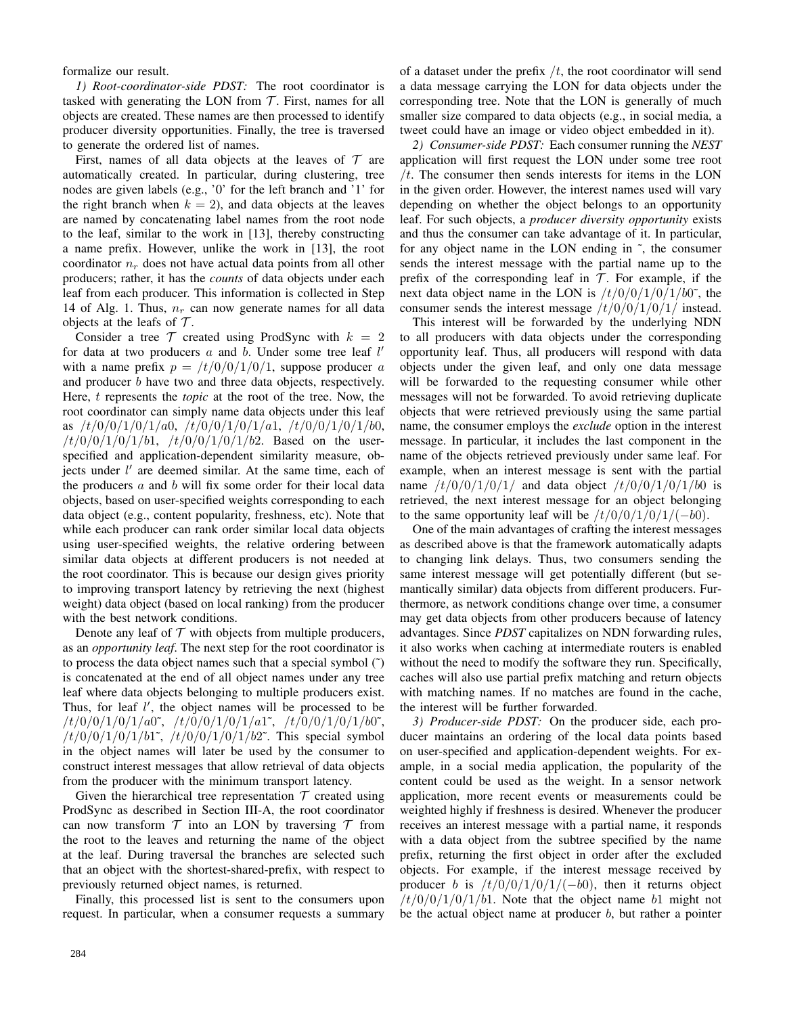formalize our result.

*1) Root-coordinator-side PDST:* The root coordinator is tasked with generating the LON from  $T$ . First, names for all objects are created. These names are then processed to identify producer diversity opportunities. Finally, the tree is traversed to generate the ordered list of names.

First, names of all data objects at the leaves of  $T$  are automatically created. In particular, during clustering, tree nodes are given labels (e.g., '0' for the left branch and '1' for the right branch when  $k = 2$ ), and data objects at the leaves are named by concatenating label names from the root node to the leaf, similar to the work in [13], thereby constructing a name prefix. However, unlike the work in [13], the root coordinator  $n_r$  does not have actual data points from all other producers; rather, it has the *counts* of data objects under each leaf from each producer. This information is collected in Step 14 of Alg. 1. Thus,  $n_r$  can now generate names for all data objects at the leafs of  $\mathcal T$ .

Consider a tree  $T$  created using ProdSync with  $k = 2$ for data at two producers  $a$  and  $b$ . Under some tree leaf  $l'$ with a name prefix  $p = \frac{t}{0.4} \cdot \frac{10}{10}$ , suppose producer a and producer *b* have two and three data objects, respectively. Here, t represents the *topic* at the root of the tree. Now, the root coordinator can simply name data objects under this leaf as  $/t/0/0/1/0/1/a0$ ,  $/t/0/0/1/0/1/a1$ ,  $/t/0/0/1/0/1/b0$ ,  $/t/0/0/1/0/1/b1$ ,  $/t/0/0/1/0/1/b2$ . Based on the userspecified and application-dependent similarity measure, objects under  $l'$  are deemed similar. At the same time, each of the producers  $a$  and  $b$  will fix some order for their local data objects, based on user-specified weights corresponding to each data object (e.g., content popularity, freshness, etc). Note that while each producer can rank order similar local data objects using user-specified weights, the relative ordering between similar data objects at different producers is not needed at the root coordinator. This is because our design gives priority to improving transport latency by retrieving the next (highest weight) data object (based on local ranking) from the producer with the best network conditions.

Denote any leaf of  $T$  with objects from multiple producers, as an *opportunity leaf*. The next step for the root coordinator is to process the data object names such that a special symbol (˜) is concatenated at the end of all object names under any tree leaf where data objects belonging to multiple producers exist. Thus, for leaf  $l'$ , the object names will be processed to be  $/t/0/0/1/0/1/a0\tilde{ }$ ,  $/t/0/0/1/0/1/a1\tilde{ }$ ,  $/t/0/0/1/0/1/b0\tilde{ }$ ,  $/t/0/0/1/0/1/b1$ <sup>\*</sup>,  $/t/0/0/1/0/1/b2$ <sup>\*</sup>. This special symbol in the object names will later be used by the consumer to construct interest messages that allow retrieval of data objects from the producer with the minimum transport latency.

Given the hierarchical tree representation  $T$  created using ProdSync as described in Section III-A, the root coordinator can now transform  $T$  into an LON by traversing  $T$  from the root to the leaves and returning the name of the object at the leaf. During traversal the branches are selected such that an object with the shortest-shared-prefix, with respect to previously returned object names, is returned.

Finally, this processed list is sent to the consumers upon request. In particular, when a consumer requests a summary

of a dataset under the prefix  $/t$ , the root coordinator will send a data message carrying the LON for data objects under the corresponding tree. Note that the LON is generally of much smaller size compared to data objects (e.g., in social media, a tweet could have an image or video object embedded in it).

*2) Consumer-side PDST:* Each consumer running the *NEST* application will first request the LON under some tree root  $/t$ . The consumer then sends interests for items in the LON in the given order. However, the interest names used will vary depending on whether the object belongs to an opportunity leaf. For such objects, a *producer diversity opportunity* exists and thus the consumer can take advantage of it. In particular, for any object name in the LON ending in ˜, the consumer sends the interest message with the partial name up to the prefix of the corresponding leaf in  $T$ . For example, if the next data object name in the LON is  $/t/0/0/1/0/1/b0^{\circ}$ , the consumer sends the interest message  $/t/0/0/1/0/1/$  instead.

This interest will be forwarded by the underlying NDN to all producers with data objects under the corresponding opportunity leaf. Thus, all producers will respond with data objects under the given leaf, and only one data message will be forwarded to the requesting consumer while other messages will not be forwarded. To avoid retrieving duplicate objects that were retrieved previously using the same partial name, the consumer employs the *exclude* option in the interest message. In particular, it includes the last component in the name of the objects retrieved previously under same leaf. For example, when an interest message is sent with the partial name  $/t/0/0/1/0/1/$  and data object  $/t/0/0/1/0/1/60$  is retrieved, the next interest message for an object belonging to the same opportunity leaf will be  $/t/0/0/1/0/1/(-b0)$ .

One of the main advantages of crafting the interest messages as described above is that the framework automatically adapts to changing link delays. Thus, two consumers sending the same interest message will get potentially different (but semantically similar) data objects from different producers. Furthermore, as network conditions change over time, a consumer may get data objects from other producers because of latency advantages. Since *PDST* capitalizes on NDN forwarding rules, it also works when caching at intermediate routers is enabled without the need to modify the software they run. Specifically, caches will also use partial prefix matching and return objects with matching names. If no matches are found in the cache, the interest will be further forwarded.

*3) Producer-side PDST:* On the producer side, each producer maintains an ordering of the local data points based on user-specified and application-dependent weights. For example, in a social media application, the popularity of the content could be used as the weight. In a sensor network application, more recent events or measurements could be weighted highly if freshness is desired. Whenever the producer receives an interest message with a partial name, it responds with a data object from the subtree specified by the name prefix, returning the first object in order after the excluded objects. For example, if the interest message received by producer b is  $/t/0/0/1/0/1/(-b0)$ , then it returns object  $/t/0/0/1/0/1/b1$ . Note that the object name b1 might not be the actual object name at producer  $b$ , but rather a pointer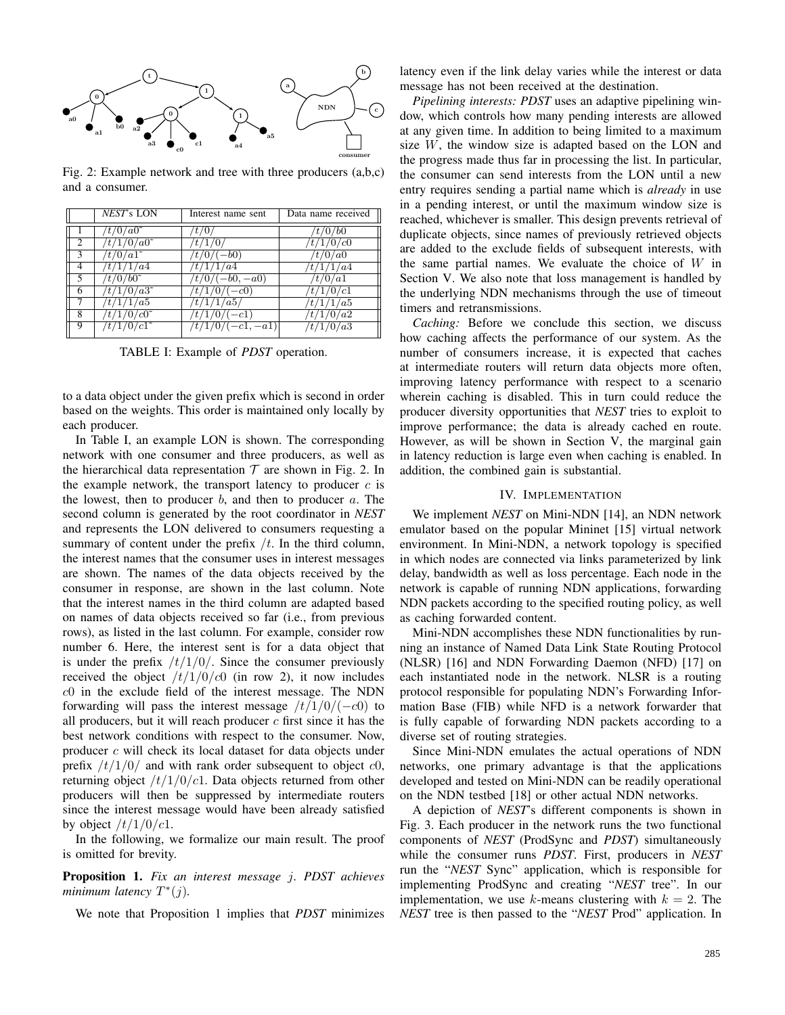

Fig. 2: Example network and tree with three producers (a,b,c) and a consumer.

|                | NEST's LON                     | Interest name sent   | Data name received |
|----------------|--------------------------------|----------------------|--------------------|
|                | $/t/0/a0$ <sup>*</sup>         |                      | $\frac{t}{0/b0}$   |
| $\overline{c}$ | $/t/1/\overline{0/a0^{\circ}}$ | t/1/0                | /t/1/0/c0          |
| 3              | $/t/0/a1$ <sup>~</sup>         | $'t/0/(-b0)$         | t/0/a0             |
|                | /t/1/1/a4                      | /t/1/1/a4            | $\frac{t}{1/4}$    |
|                | $/t/0/b0$ ~                    | $/t/0/(-b0, -a0)$    | 't/0/a1            |
| 6              | $/t/1/0/a3^2$                  | $\frac{t}{10}$ (-c0) | /t/1/0/c1          |
|                | /t/1/1/a5                      | /t/1/1/a5/           | /t/1/1/a5          |
| 8              | $/t/1/0/c0$ <sup>*</sup>       | $\frac{t}{10}$ (-c1) | /t/1/0/a2          |
| 9              | $/t/1/0/c1$ <sup>~</sup>       | $/t/1/0/(-c1,-a1)$   | /t/1/0/a3          |

TABLE I: Example of *PDST* operation.

to a data object under the given prefix which is second in order based on the weights. This order is maintained only locally by each producer.

In Table I, an example LON is shown. The corresponding network with one consumer and three producers, as well as the hierarchical data representation  $T$  are shown in Fig. 2. In the example network, the transport latency to producer  $c$  is the lowest, then to producer  $b$ , and then to producer  $a$ . The second column is generated by the root coordinator in *NEST* and represents the LON delivered to consumers requesting a summary of content under the prefix  $/t$ . In the third column, the interest names that the consumer uses in interest messages are shown. The names of the data objects received by the consumer in response, are shown in the last column. Note that the interest names in the third column are adapted based on names of data objects received so far (i.e., from previous rows), as listed in the last column. For example, consider row number 6. Here, the interest sent is for a data object that is under the prefix  $/t/1/0/$ . Since the consumer previously received the object  $/t/1/0/c0$  (in row 2), it now includes c0 in the exclude field of the interest message. The NDN forwarding will pass the interest message  $/t/1/0/(-c0)$  to all producers, but it will reach producer  $c$  first since it has the best network conditions with respect to the consumer. Now, producer c will check its local dataset for data objects under prefix  $/t/1/0/$  and with rank order subsequent to object  $c0$ , returning object  $/t/1/0/c1$ . Data objects returned from other producers will then be suppressed by intermediate routers since the interest message would have been already satisfied by object  $/t/1/0/c1$ .

In the following, we formalize our main result. The proof is omitted for brevity.

Proposition 1. *Fix an interest message* j*. PDST achieves minimum latency* T ∗ (j)*.*

We note that Proposition 1 implies that *PDST* minimizes

latency even if the link delay varies while the interest or data message has not been received at the destination.

*Pipelining interests: PDST* uses an adaptive pipelining window, which controls how many pending interests are allowed at any given time. In addition to being limited to a maximum size W, the window size is adapted based on the LON and the progress made thus far in processing the list. In particular, the consumer can send interests from the LON until a new entry requires sending a partial name which is *already* in use in a pending interest, or until the maximum window size is reached, whichever is smaller. This design prevents retrieval of duplicate objects, since names of previously retrieved objects are added to the exclude fields of subsequent interests, with the same partial names. We evaluate the choice of  $W$  in Section V. We also note that loss management is handled by the underlying NDN mechanisms through the use of timeout timers and retransmissions.

*Caching:* Before we conclude this section, we discuss how caching affects the performance of our system. As the number of consumers increase, it is expected that caches at intermediate routers will return data objects more often, improving latency performance with respect to a scenario wherein caching is disabled. This in turn could reduce the producer diversity opportunities that *NEST* tries to exploit to improve performance; the data is already cached en route. However, as will be shown in Section V, the marginal gain in latency reduction is large even when caching is enabled. In addition, the combined gain is substantial.

#### IV. IMPLEMENTATION

We implement *NEST* on Mini-NDN [14], an NDN network emulator based on the popular Mininet [15] virtual network environment. In Mini-NDN, a network topology is specified in which nodes are connected via links parameterized by link delay, bandwidth as well as loss percentage. Each node in the network is capable of running NDN applications, forwarding NDN packets according to the specified routing policy, as well as caching forwarded content.

Mini-NDN accomplishes these NDN functionalities by running an instance of Named Data Link State Routing Protocol (NLSR) [16] and NDN Forwarding Daemon (NFD) [17] on each instantiated node in the network. NLSR is a routing protocol responsible for populating NDN's Forwarding Information Base (FIB) while NFD is a network forwarder that is fully capable of forwarding NDN packets according to a diverse set of routing strategies.

Since Mini-NDN emulates the actual operations of NDN networks, one primary advantage is that the applications developed and tested on Mini-NDN can be readily operational on the NDN testbed [18] or other actual NDN networks.

A depiction of *NEST*'s different components is shown in Fig. 3. Each producer in the network runs the two functional components of *NEST* (ProdSync and *PDST*) simultaneously while the consumer runs *PDST*. First, producers in *NEST* run the "*NEST* Sync" application, which is responsible for implementing ProdSync and creating "*NEST* tree". In our implementation, we use k-means clustering with  $k = 2$ . The *NEST* tree is then passed to the "*NEST* Prod" application. In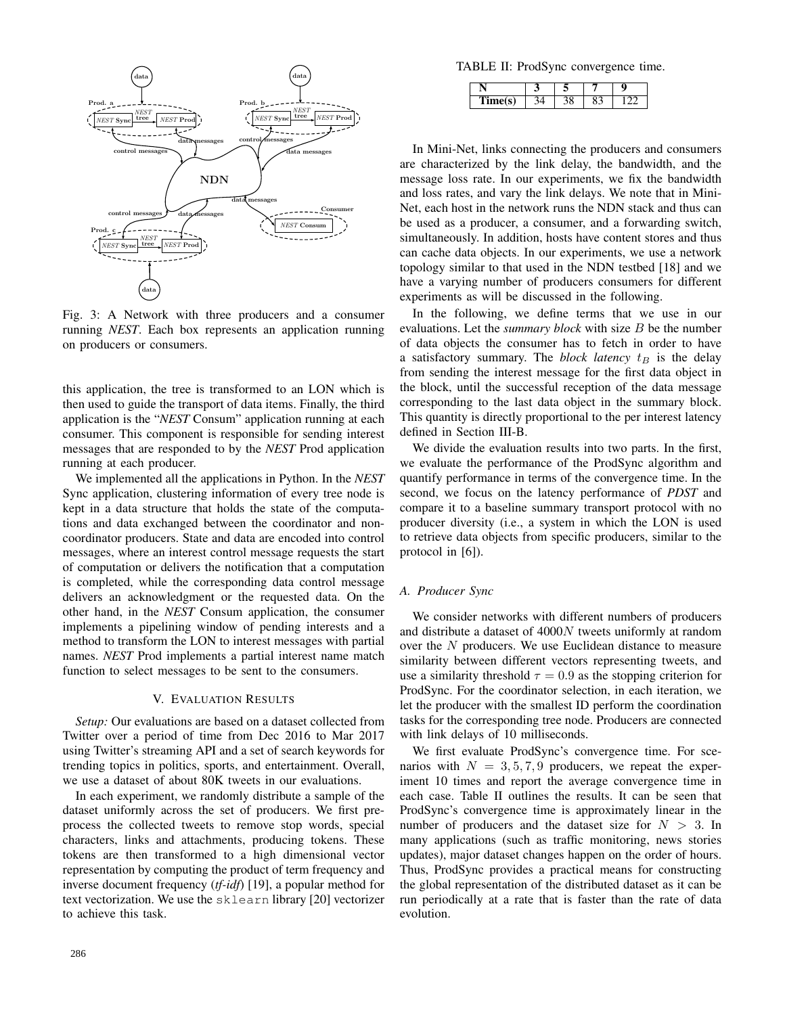

Fig. 3: A Network with three producers and a consumer running *NEST*. Each box represents an application running on producers or consumers.

this application, the tree is transformed to an LON which is then used to guide the transport of data items. Finally, the third application is the "*NEST* Consum" application running at each consumer. This component is responsible for sending interest messages that are responded to by the *NEST* Prod application running at each producer.

We implemented all the applications in Python. In the *NEST* Sync application, clustering information of every tree node is kept in a data structure that holds the state of the computations and data exchanged between the coordinator and noncoordinator producers. State and data are encoded into control messages, where an interest control message requests the start of computation or delivers the notification that a computation is completed, while the corresponding data control message delivers an acknowledgment or the requested data. On the other hand, in the *NEST* Consum application, the consumer implements a pipelining window of pending interests and a method to transform the LON to interest messages with partial names. *NEST* Prod implements a partial interest name match function to select messages to be sent to the consumers.

#### V. EVALUATION RESULTS

*Setup:* Our evaluations are based on a dataset collected from Twitter over a period of time from Dec 2016 to Mar 2017 using Twitter's streaming API and a set of search keywords for trending topics in politics, sports, and entertainment. Overall, we use a dataset of about 80K tweets in our evaluations.

In each experiment, we randomly distribute a sample of the dataset uniformly across the set of producers. We first preprocess the collected tweets to remove stop words, special characters, links and attachments, producing tokens. These tokens are then transformed to a high dimensional vector representation by computing the product of term frequency and inverse document frequency (*tf-idf*) [19], a popular method for text vectorization. We use the sklearn library [20] vectorizer to achieve this task.

TABLE II: ProdSync convergence time.

In Mini-Net, links connecting the producers and consumers are characterized by the link delay, the bandwidth, and the message loss rate. In our experiments, we fix the bandwidth and loss rates, and vary the link delays. We note that in Mini-Net, each host in the network runs the NDN stack and thus can be used as a producer, a consumer, and a forwarding switch, simultaneously. In addition, hosts have content stores and thus can cache data objects. In our experiments, we use a network topology similar to that used in the NDN testbed [18] and we have a varying number of producers consumers for different experiments as will be discussed in the following.

In the following, we define terms that we use in our evaluations. Let the *summary block* with size B be the number of data objects the consumer has to fetch in order to have a satisfactory summary. The *block latency*  $t_B$  is the delay from sending the interest message for the first data object in the block, until the successful reception of the data message corresponding to the last data object in the summary block. This quantity is directly proportional to the per interest latency defined in Section III-B.

We divide the evaluation results into two parts. In the first, we evaluate the performance of the ProdSync algorithm and quantify performance in terms of the convergence time. In the second, we focus on the latency performance of *PDST* and compare it to a baseline summary transport protocol with no producer diversity (i.e., a system in which the LON is used to retrieve data objects from specific producers, similar to the protocol in [6]).

#### *A. Producer Sync*

We consider networks with different numbers of producers and distribute a dataset of 4000N tweets uniformly at random over the N producers. We use Euclidean distance to measure similarity between different vectors representing tweets, and use a similarity threshold  $\tau = 0.9$  as the stopping criterion for ProdSync. For the coordinator selection, in each iteration, we let the producer with the smallest ID perform the coordination tasks for the corresponding tree node. Producers are connected with link delays of 10 milliseconds.

We first evaluate ProdSync's convergence time. For scenarios with  $N = 3, 5, 7, 9$  producers, we repeat the experiment 10 times and report the average convergence time in each case. Table II outlines the results. It can be seen that ProdSync's convergence time is approximately linear in the number of producers and the dataset size for  $N > 3$ . In many applications (such as traffic monitoring, news stories updates), major dataset changes happen on the order of hours. Thus, ProdSync provides a practical means for constructing the global representation of the distributed dataset as it can be run periodically at a rate that is faster than the rate of data evolution.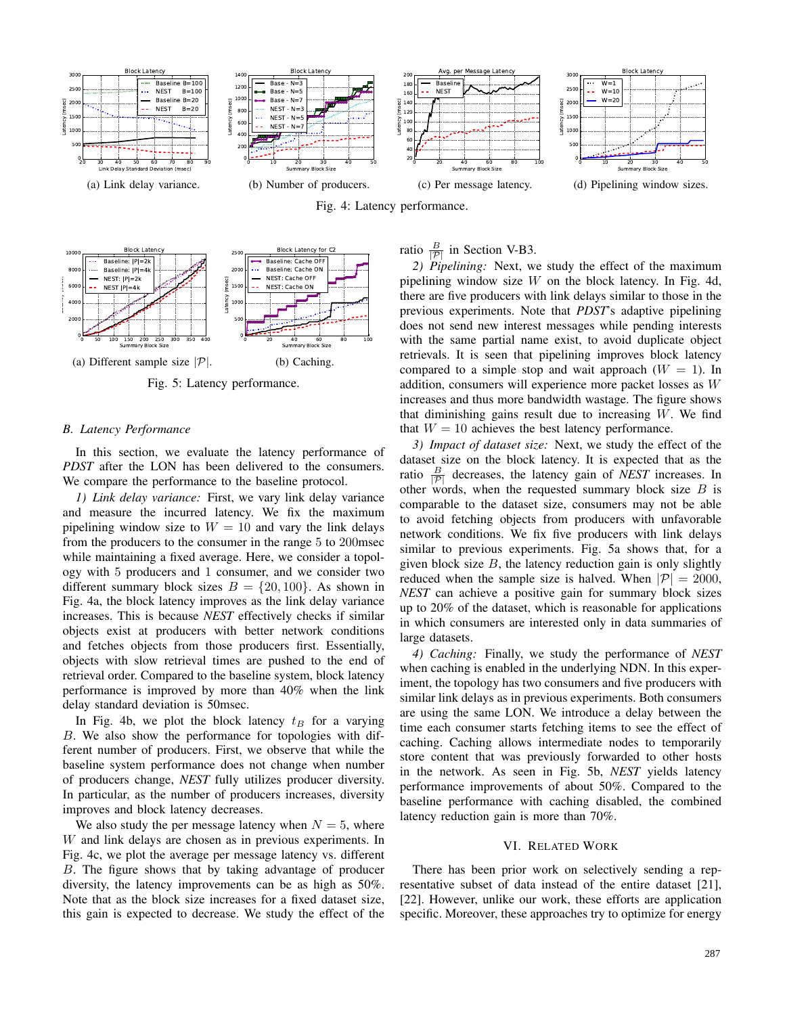

Fig. 4: Latency performance.



Fig. 5: Latency performance.

#### *B. Latency Performance*

In this section, we evaluate the latency performance of *PDST* after the LON has been delivered to the consumers. We compare the performance to the baseline protocol.

*1) Link delay variance:* First, we vary link delay variance and measure the incurred latency. We fix the maximum pipelining window size to  $W = 10$  and vary the link delays from the producers to the consumer in the range 5 to 200msec while maintaining a fixed average. Here, we consider a topology with 5 producers and 1 consumer, and we consider two different summary block sizes  $B = \{20, 100\}$ . As shown in Fig. 4a, the block latency improves as the link delay variance increases. This is because *NEST* effectively checks if similar objects exist at producers with better network conditions and fetches objects from those producers first. Essentially, objects with slow retrieval times are pushed to the end of retrieval order. Compared to the baseline system, block latency performance is improved by more than 40% when the link delay standard deviation is 50msec.

In Fig. 4b, we plot the block latency  $t_B$  for a varying B. We also show the performance for topologies with different number of producers. First, we observe that while the baseline system performance does not change when number of producers change, *NEST* fully utilizes producer diversity. In particular, as the number of producers increases, diversity improves and block latency decreases.

We also study the per message latency when  $N = 5$ , where W and link delays are chosen as in previous experiments. In Fig. 4c, we plot the average per message latency vs. different B. The figure shows that by taking advantage of producer diversity, the latency improvements can be as high as 50%. Note that as the block size increases for a fixed dataset size, this gain is expected to decrease. We study the effect of the

## ratio  $\frac{B}{|\mathcal{P}|}$  in Section V-B3.

*2) Pipelining:* Next, we study the effect of the maximum pipelining window size  $W$  on the block latency. In Fig. 4d, there are five producers with link delays similar to those in the previous experiments. Note that *PDST*'s adaptive pipelining does not send new interest messages while pending interests with the same partial name exist, to avoid duplicate object retrievals. It is seen that pipelining improves block latency compared to a simple stop and wait approach  $(W = 1)$ . In addition, consumers will experience more packet losses as W increases and thus more bandwidth wastage. The figure shows that diminishing gains result due to increasing  $W$ . We find that  $W = 10$  achieves the best latency performance.

*3) Impact of dataset size:* Next, we study the effect of the dataset size on the block latency. It is expected that as the ratio  $\frac{B}{|\mathcal{P}|}$  decreases, the latency gain of *NEST* increases. In other words, when the requested summary block size  $B$  is comparable to the dataset size, consumers may not be able to avoid fetching objects from producers with unfavorable network conditions. We fix five producers with link delays similar to previous experiments. Fig. 5a shows that, for a given block size  $B$ , the latency reduction gain is only slightly reduced when the sample size is halved. When  $|\mathcal{P}| = 2000$ , *NEST* can achieve a positive gain for summary block sizes up to 20% of the dataset, which is reasonable for applications in which consumers are interested only in data summaries of large datasets.

*4) Caching:* Finally, we study the performance of *NEST* when caching is enabled in the underlying NDN. In this experiment, the topology has two consumers and five producers with similar link delays as in previous experiments. Both consumers are using the same LON. We introduce a delay between the time each consumer starts fetching items to see the effect of caching. Caching allows intermediate nodes to temporarily store content that was previously forwarded to other hosts in the network. As seen in Fig. 5b, *NEST* yields latency performance improvements of about 50%. Compared to the baseline performance with caching disabled, the combined latency reduction gain is more than 70%.

#### VI. RELATED WORK

There has been prior work on selectively sending a representative subset of data instead of the entire dataset [21], [22]. However, unlike our work, these efforts are application specific. Moreover, these approaches try to optimize for energy